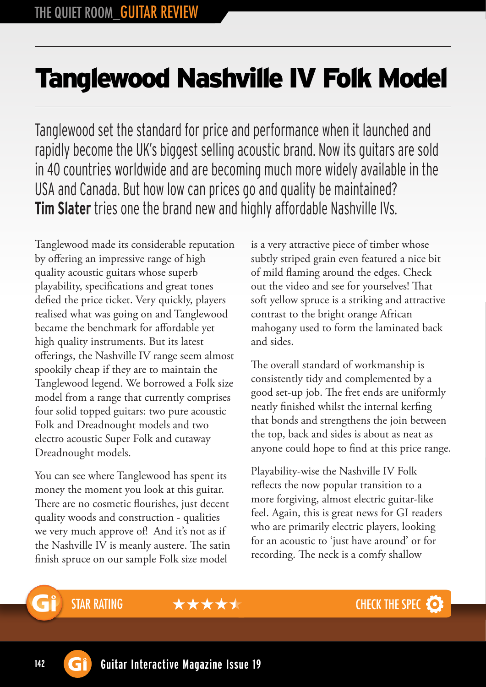## Tanglewood Nashville IV Folk Model

Tanglewood set the standard for price and performance when it launched and rapidly become the UK's biggest selling acoustic brand. Now its guitars are sold in 40 countries worldwide and are becoming much more widely available in the USA and Canada. But how low can prices go and quality be maintained? **Tim Slater** tries one the brand new and highly affordable Nashville IVs.

Tanglewood made its considerable reputation by offering an impressive range of high quality acoustic guitars whose superb playability, specifications and great tones defied the price ticket. Very quickly, players realised what was going on and Tanglewood became the benchmark for affordable yet high quality instruments. But its latest offerings, the Nashville IV range seem almost spookily cheap if they are to maintain the Tanglewood legend. We borrowed a Folk size model from a range that currently comprises four solid topped guitars: two pure acoustic Folk and Dreadnought models and two electro acoustic Super Folk and cutaway Dreadnought models.

You can see where Tanglewood has spent its money the moment you look at this guitar. There are no cosmetic flourishes, just decent quality woods and construction - qualities we very much approve of! And it's not as if the Nashville IV is meanly austere. The satin finish spruce on our sample Folk size model

is a very attractive piece of timber whose subtly striped grain even featured a nice bit of mild flaming around the edges. Check out the video and see for yourselves! That soft yellow spruce is a striking and attractive contrast to the bright orange African mahogany used to form the laminated back and sides.

The overall standard of workmanship is consistently tidy and complemented by a good set-up job. The fret ends are uniformly neatly finished whilst the internal kerfing that bonds and strengthens the join between the top, back and sides is about as neat as anyone could hope to find at this price range.

Playability-wise the Nashville IV Folk reflects the now popular transition to a more forgiving, almost electric guitar-like feel. Again, this is great news for GI readers who are primarily electric players, looking for an acoustic to 'just have around' or for recording. The neck is a comfy shallow

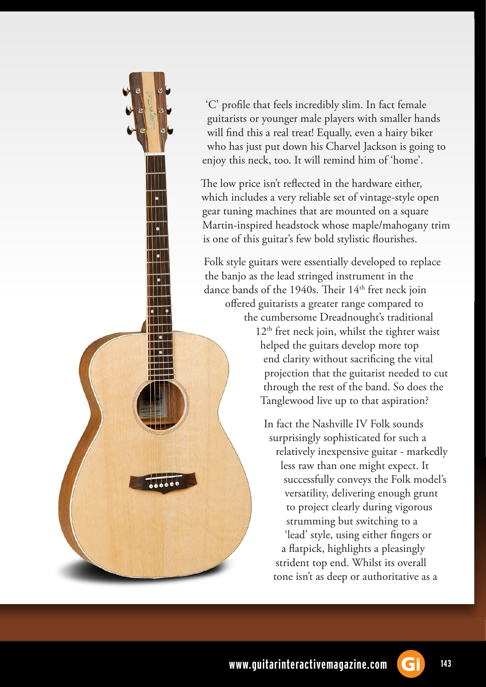

'C' profile that feels incredibly slim. In fact female guitarists or younger male players with smaller hands will find this a real treat! Equally, even a hairy biker who has just put down his Charvel Jackson is going to enjoy this neck, too. It will remind him of 'home'.

The low price isn't reflected in the hardware either, which includes a very reliable set of vintage-style open gear tuning machines that are mounted on a square Martin-inspired headstock whose maple/mahogany trim is one of this guitar's few bold stylistic flourishes.

Folk style guitars were essentially developed to replace the banjo as the lead stringed instrument in the dance bands of the 1940s. Their  $14<sup>th</sup>$  fret neck join offered guitarists a greater range compared to the cumbersome Dreadnought's traditional  $12<sup>th</sup>$  fret neck join, whilst the tighter waist helped the guitars develop more top end clarity without sacrificing the vital projection that the guitarist needed to cut through the rest of the band. So does the Tanglewood live up to that aspiration?

> In fact the Nashville IV Folk sounds surprisingly sophisticated for such a relatively inexpensive guitar - markedly less raw than one might expect. It successfully conveys the Folk model's versatility, delivering enough grunt to project clearly during vigorous strumming but switching to a 'lead' style, using either fingers or a flatpick, highlights a pleasingly strident top end. Whilst its overall tone isn't as deep or authoritative as a

**www.guitarinteractivemagazine.com 143**